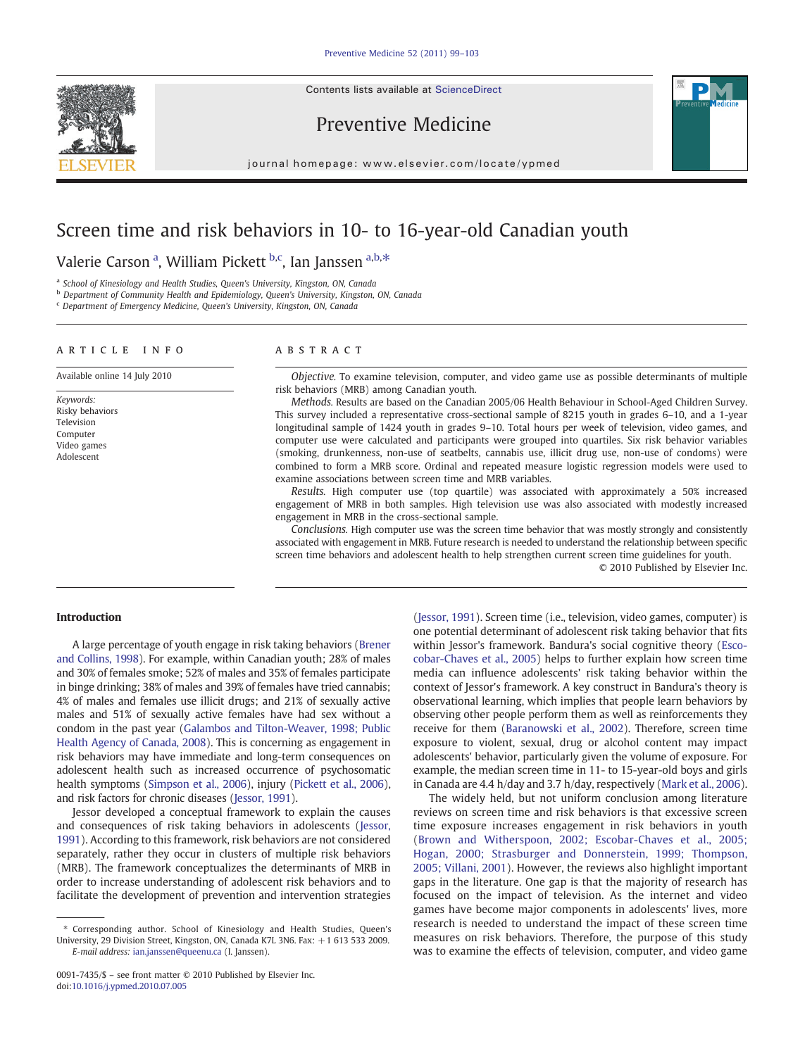Contents lists available at [ScienceDirect](http://www.sciencedirect.com/science/journal/00917435)







journal homepage: www.elsevier.com/locate/ypmed

## Screen time and risk behaviors in 10- to 16-year-old Canadian youth

Valerie Carson <sup>a</sup>, William Pickett <sup>b,c</sup>, Ian Janssen <sup>a,b,\*</sup>

<sup>a</sup> School of Kinesiology and Health Studies, Queen's University, Kingston, ON, Canada

b Department of Community Health and Epidemiology, Queen's University, Kingston, ON, Canada

<sup>c</sup> Department of Emergency Medicine, Queen's University, Kingston, ON, Canada

#### article info abstract

Available online 14 July 2010

Keywords: Risky behaviors Television Computer Video games Adolescent

Objective. To examine television, computer, and video game use as possible determinants of multiple risk behaviors (MRB) among Canadian youth.

Methods. Results are based on the Canadian 2005/06 Health Behaviour in School-Aged Children Survey. This survey included a representative cross-sectional sample of 8215 youth in grades 6–10, and a 1-year longitudinal sample of 1424 youth in grades 9–10. Total hours per week of television, video games, and computer use were calculated and participants were grouped into quartiles. Six risk behavior variables (smoking, drunkenness, non-use of seatbelts, cannabis use, illicit drug use, non-use of condoms) were combined to form a MRB score. Ordinal and repeated measure logistic regression models were used to examine associations between screen time and MRB variables.

Results. High computer use (top quartile) was associated with approximately a 50% increased engagement of MRB in both samples. High television use was also associated with modestly increased engagement in MRB in the cross-sectional sample.

Conclusions. High computer use was the screen time behavior that was mostly strongly and consistently associated with engagement in MRB. Future research is needed to understand the relationship between specific screen time behaviors and adolescent health to help strengthen current screen time guidelines for youth.

© 2010 Published by Elsevier Inc.

### Introduction

A large percentage of youth engage in risk taking behaviors ([Brener](#page-4-0) [and Collins, 1998](#page-4-0)). For example, within Canadian youth; 28% of males and 30% of females smoke; 52% of males and 35% of females participate in binge drinking; 38% of males and 39% of females have tried cannabis; 4% of males and females use illicit drugs; and 21% of sexually active males and 51% of sexually active females have had sex without a condom in the past year [\(Galambos and Tilton-Weaver, 1998; Public](#page-4-0) [Health Agency of Canada, 2008\)](#page-4-0). This is concerning as engagement in risk behaviors may have immediate and long-term consequences on adolescent health such as increased occurrence of psychosomatic health symptoms ([Simpson et al., 2006](#page-4-0)), injury [\(Pickett et al., 2006](#page-4-0)), and risk factors for chronic diseases [\(Jessor, 1991\)](#page-4-0).

Jessor developed a conceptual framework to explain the causes and consequences of risk taking behaviors in adolescents ([Jessor,](#page-4-0) [1991\)](#page-4-0). According to this framework, risk behaviors are not considered separately, rather they occur in clusters of multiple risk behaviors (MRB). The framework conceptualizes the determinants of MRB in order to increase understanding of adolescent risk behaviors and to facilitate the development of prevention and intervention strategies

[\(Jessor, 1991](#page-4-0)). Screen time (i.e., television, video games, computer) is one potential determinant of adolescent risk taking behavior that fits within Jessor's framework. Bandura's social cognitive theory [\(Esco](#page-4-0)[cobar-Chaves et al., 2005\)](#page-4-0) helps to further explain how screen time media can influence adolescents' risk taking behavior within the context of Jessor's framework. A key construct in Bandura's theory is observational learning, which implies that people learn behaviors by observing other people perform them as well as reinforcements they receive for them [\(Baranowski et al., 2002](#page-4-0)). Therefore, screen time exposure to violent, sexual, drug or alcohol content may impact adolescents' behavior, particularly given the volume of exposure. For example, the median screen time in 11- to 15-year-old boys and girls in Canada are 4.4 h/day and 3.7 h/day, respectively [\(Mark et al., 2006](#page-4-0)).

The widely held, but not uniform conclusion among literature reviews on screen time and risk behaviors is that excessive screen time exposure increases engagement in risk behaviors in youth [\(Brown and Witherspoon, 2002; Escobar-Chaves et al., 2005;](#page-4-0) [Hogan, 2000; Strasburger and Donnerstein, 1999; Thompson,](#page-4-0) [2005; Villani, 2001\)](#page-4-0). However, the reviews also highlight important gaps in the literature. One gap is that the majority of research has focused on the impact of television. As the internet and video games have become major components in adolescents' lives, more research is needed to understand the impact of these screen time measures on risk behaviors. Therefore, the purpose of this study was to examine the effects of television, computer, and video game

<sup>⁎</sup> Corresponding author. School of Kinesiology and Health Studies, Queen's University, 29 Division Street, Kingston, ON, Canada K7L 3N6. Fax: +1 613 533 2009. E-mail address: [ian.janssen@queenu.ca](mailto:ian.janssen@queenu.ca) (I. Janssen).

<sup>0091-7435/\$</sup> – see front matter © 2010 Published by Elsevier Inc. doi:[10.1016/j.ypmed.2010.07.005](http://dx.doi.org/10.1016/j.ypmed.2010.07.005)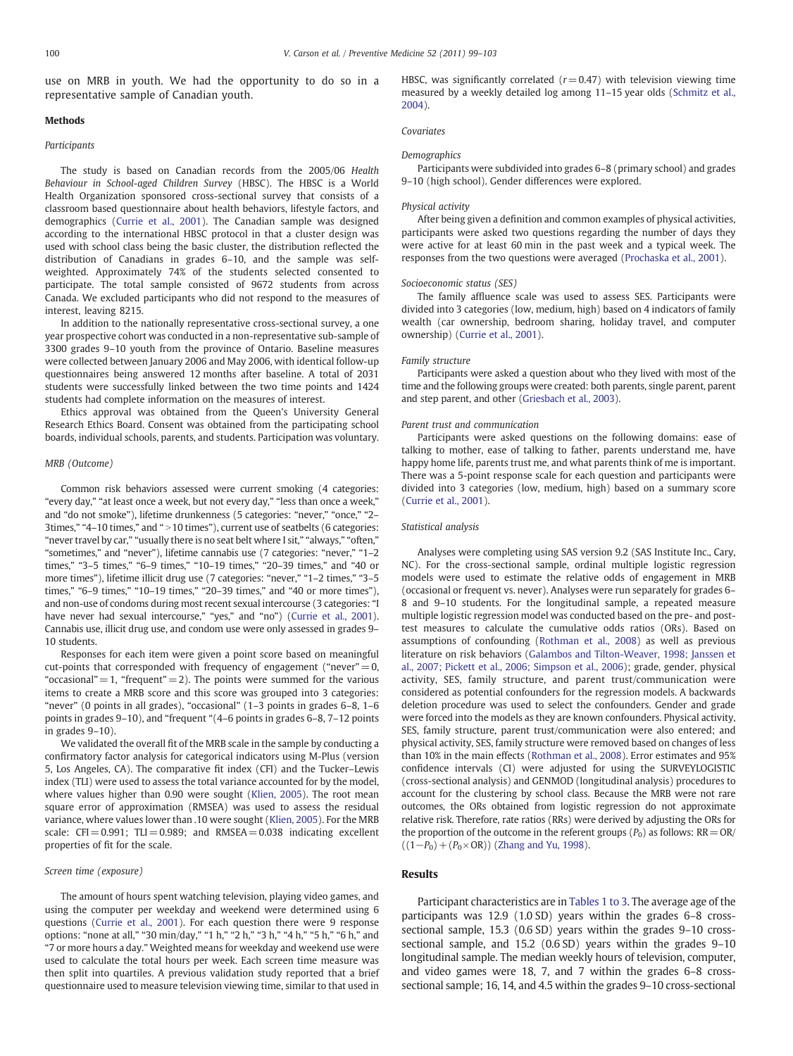use on MRB in youth. We had the opportunity to do so in a representative sample of Canadian youth.

#### **Methods**

#### **Participants**

The study is based on Canadian records from the 2005/06 Health Behaviour in School-aged Children Survey (HBSC). The HBSC is a World Health Organization sponsored cross-sectional survey that consists of a classroom based questionnaire about health behaviors, lifestyle factors, and demographics [\(Currie et al., 2001](#page-4-0)). The Canadian sample was designed according to the international HBSC protocol in that a cluster design was used with school class being the basic cluster, the distribution reflected the distribution of Canadians in grades 6–10, and the sample was selfweighted. Approximately 74% of the students selected consented to participate. The total sample consisted of 9672 students from across Canada. We excluded participants who did not respond to the measures of interest, leaving 8215.

In addition to the nationally representative cross-sectional survey, a one year prospective cohort was conducted in a non-representative sub-sample of 3300 grades 9–10 youth from the province of Ontario. Baseline measures were collected between January 2006 and May 2006, with identical follow-up questionnaires being answered 12 months after baseline. A total of 2031 students were successfully linked between the two time points and 1424 students had complete information on the measures of interest.

Ethics approval was obtained from the Queen's University General Research Ethics Board. Consent was obtained from the participating school boards, individual schools, parents, and students. Participation was voluntary.

#### MRB (Outcome)

Common risk behaviors assessed were current smoking (4 categories: "every day," "at least once a week, but not every day," "less than once a week," and "do not smoke"), lifetime drunkenness (5 categories: "never," "once," "2– 3times," "4-10 times," and " > 10 times"), current use of seatbelts (6 categories: "never travel by car," "usually there is no seat belt where I sit," "always," "often," "sometimes," and "never"), lifetime cannabis use (7 categories: "never," "1–2 times," "3–5 times," "6–9 times," "10–19 times," "20–39 times," and "40 or more times"), lifetime illicit drug use (7 categories: "never," "1–2 times," "3–5 times," "6–9 times," "10–19 times," "20–39 times," and "40 or more times"), and non-use of condoms during most recent sexual intercourse (3 categories: "I have never had sexual intercourse," "yes," and "no") ([Currie et al., 2001](#page-4-0)). Cannabis use, illicit drug use, and condom use were only assessed in grades 9– 10 students.

Responses for each item were given a point score based on meaningful cut-points that corresponded with frequency of engagement ("never" $= 0$ , "occasional"  $= 1$ , "frequent"  $= 2$ ). The points were summed for the various items to create a MRB score and this score was grouped into 3 categories: "never" (0 points in all grades), "occasional" (1–3 points in grades 6–8, 1–6 points in grades 9–10), and "frequent "(4–6 points in grades 6–8, 7–12 points in grades 9–10).

We validated the overall fit of the MRB scale in the sample by conducting a confirmatory factor analysis for categorical indicators using M-Plus (version 5, Los Angeles, CA). The comparative fit index (CFI) and the Tucker–Lewis index (TLI) were used to assess the total variance accounted for by the model, where values higher than 0.90 were sought ([Klien, 2005\)](#page-4-0). The root mean square error of approximation (RMSEA) was used to assess the residual variance, where values lower than .10 were sought [\(Klien, 2005\)](#page-4-0). For the MRB scale:  $CFI = 0.991$ ;  $TLI = 0.989$ ; and  $RMSEA = 0.038$  indicating excellent properties of fit for the scale.

#### Screen time (exposure)

The amount of hours spent watching television, playing video games, and using the computer per weekday and weekend were determined using 6 questions ([Currie et al., 2001](#page-4-0)). For each question there were 9 response options: "none at all," "30 min/day," "1 h," "2 h," "3 h," "4 h," "5 h," "6 h," and "7 or more hours a day." Weighted means for weekday and weekend use were used to calculate the total hours per week. Each screen time measure was then split into quartiles. A previous validation study reported that a brief questionnaire used to measure television viewing time, similar to that used in HBSC, was significantly correlated ( $r = 0.47$ ) with television viewing time measured by a weekly detailed log among 11–15 year olds ([Schmitz et al.,](#page-4-0) [2004](#page-4-0)).

#### Covariates

#### Demographics

Participants were subdivided into grades 6–8 (primary school) and grades 9–10 (high school). Gender differences were explored.

#### Physical activity

After being given a definition and common examples of physical activities, participants were asked two questions regarding the number of days they were active for at least 60 min in the past week and a typical week. The responses from the two questions were averaged ([Prochaska et al., 2001](#page-4-0)).

#### Socioeconomic status (SES)

The family affluence scale was used to assess SES. Participants were divided into 3 categories (low, medium, high) based on 4 indicators of family wealth (car ownership, bedroom sharing, holiday travel, and computer ownership) [\(Currie et al., 2001\)](#page-4-0).

#### Family structure

Participants were asked a question about who they lived with most of the time and the following groups were created: both parents, single parent, parent and step parent, and other ([Griesbach et al., 2003\)](#page-4-0).

#### Parent trust and communication

Participants were asked questions on the following domains: ease of talking to mother, ease of talking to father, parents understand me, have happy home life, parents trust me, and what parents think of me is important. There was a 5-point response scale for each question and participants were divided into 3 categories (low, medium, high) based on a summary score ([Currie et al., 2001](#page-4-0)).

#### Statistical analysis

Analyses were completing using SAS version 9.2 (SAS Institute Inc., Cary, NC). For the cross-sectional sample, ordinal multiple logistic regression models were used to estimate the relative odds of engagement in MRB (occasional or frequent vs. never). Analyses were run separately for grades 6– 8 and 9–10 students. For the longitudinal sample, a repeated measure multiple logistic regression model was conducted based on the pre- and posttest measures to calculate the cumulative odds ratios (ORs). Based on assumptions of confounding [\(Rothman et al., 2008](#page-4-0)) as well as previous literature on risk behaviors [\(Galambos and Tilton-Weaver, 1998; Janssen et](#page-4-0) [al., 2007; Pickett et al., 2006; Simpson et al., 2006](#page-4-0)); grade, gender, physical activity, SES, family structure, and parent trust/communication were considered as potential confounders for the regression models. A backwards deletion procedure was used to select the confounders. Gender and grade were forced into the models as they are known confounders. Physical activity, SES, family structure, parent trust/communication were also entered; and physical activity, SES, family structure were removed based on changes of less than 10% in the main effects [\(Rothman et al., 2008](#page-4-0)). Error estimates and 95% confidence intervals (CI) were adjusted for using the SURVEYLOGISTIC (cross-sectional analysis) and GENMOD (longitudinal analysis) procedures to account for the clustering by school class. Because the MRB were not rare outcomes, the ORs obtained from logistic regression do not approximate relative risk. Therefore, rate ratios (RRs) were derived by adjusting the ORs for the proportion of the outcome in the referent groups  $(P_0)$  as follows:  $RR = OR/$  $((1-P_0)+(P_0\times$ OR)) [\(Zhang and Yu, 1998\)](#page-4-0).

#### Results

Participant characteristics are in [Tables 1 to 3](#page-2-0). The average age of the participants was 12.9 (1.0 SD) years within the grades 6–8 crosssectional sample, 15.3 (0.6 SD) years within the grades 9–10 crosssectional sample, and 15.2 (0.6 SD) years within the grades 9–10 longitudinal sample. The median weekly hours of television, computer, and video games were 18, 7, and 7 within the grades 6–8 crosssectional sample; 16, 14, and 4.5 within the grades 9–10 cross-sectional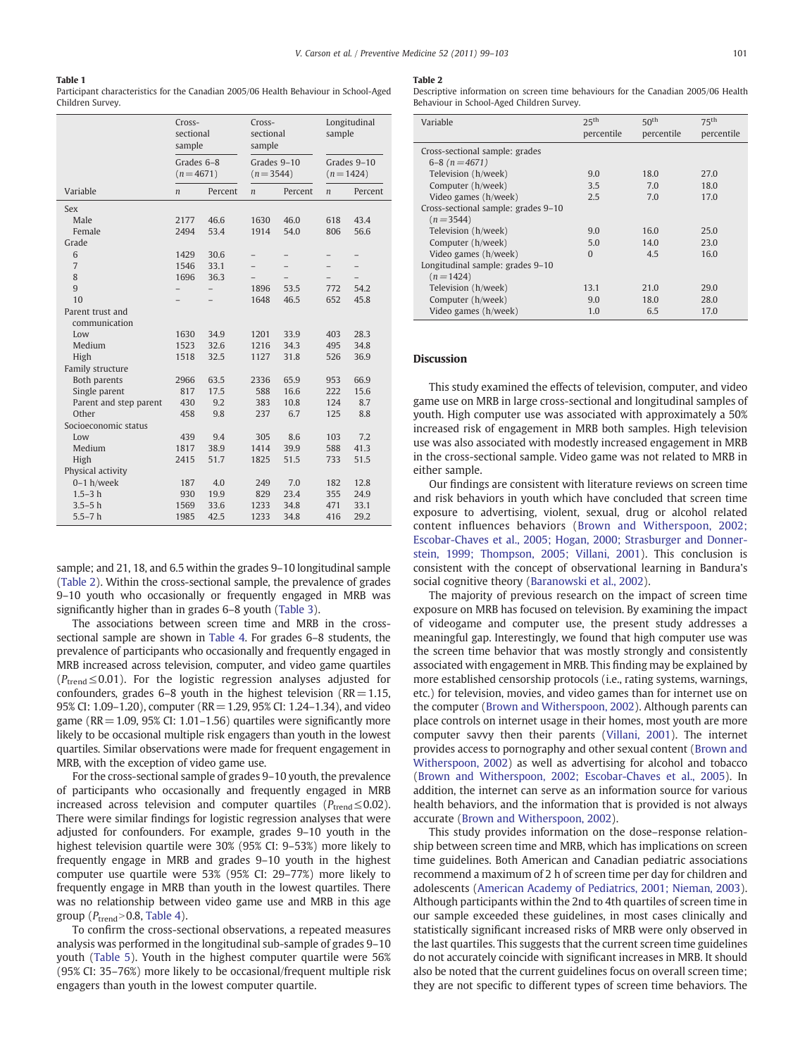#### <span id="page-2-0"></span>Table 1

Participant characteristics for the Canadian 2005/06 Health Behaviour in School-Aged Children Survey.

|                        | Cross-<br>sectional<br>sample |         | Cross-<br>sectional<br>sample |         | Longitudinal<br>sample      |         |
|------------------------|-------------------------------|---------|-------------------------------|---------|-----------------------------|---------|
|                        | Grades 6-8<br>$(n=4671)$      |         | Grades 9-10<br>$(n=3544)$     |         | Grades 9-10<br>$(n = 1424)$ |         |
| Variable               | $\boldsymbol{n}$              | Percent | $\boldsymbol{n}$              | Percent | $\boldsymbol{n}$            | Percent |
| Sex                    |                               |         |                               |         |                             |         |
| Male                   | 2177                          | 46.6    | 1630                          | 46.0    | 618                         | 43.4    |
| Female                 | 2494                          | 53.4    | 1914                          | 54.0    | 806                         | 56.6    |
| Grade                  |                               |         |                               |         |                             |         |
| 6                      | 1429                          | 30.6    | -                             |         |                             |         |
| $\overline{7}$         | 1546                          | 33.1    |                               |         |                             |         |
| 8                      | 1696                          | 36.3    |                               |         |                             |         |
| 9                      |                               |         | 1896                          | 53.5    | 772                         | 54.2    |
| 10                     |                               |         | 1648                          | 46.5    | 652                         | 45.8    |
| Parent trust and       |                               |         |                               |         |                             |         |
| communication          |                               |         |                               |         |                             |         |
| Low                    | 1630                          | 34.9    | 1201                          | 33.9    | 403                         | 28.3    |
| Medium                 | 1523                          | 32.6    | 1216                          | 34.3    | 495                         | 34.8    |
| High                   | 1518                          | 32.5    | 1127                          | 31.8    | 526                         | 36.9    |
| Family structure       |                               |         |                               |         |                             |         |
| Both parents           | 2966                          | 63.5    | 2336                          | 65.9    | 953                         | 66.9    |
| Single parent          | 817                           | 17.5    | 588                           | 16.6    | 222                         | 15.6    |
| Parent and step parent | 430                           | 9.2     | 383                           | 10.8    | 124                         | 8.7     |
| Other                  | 458                           | 9.8     | 237                           | 6.7     | 125                         | 8.8     |
| Socioeconomic status   |                               |         |                               |         |                             |         |
| Low                    | 439                           | 9.4     | 305                           | 8.6     | 103                         | 7.2     |
| Medium                 | 1817                          | 38.9    | 1414                          | 39.9    | 588                         | 41.3    |
| High                   | 2415                          | 51.7    | 1825                          | 51.5    | 733                         | 51.5    |
| Physical activity      |                               |         |                               |         |                             |         |
| $0-1 h$ /week          | 187                           | 4.0     | 249                           | 7.0     | 182                         | 12.8    |
| $1.5 - 3 h$            | 930                           | 19.9    | 829                           | 23.4    | 355                         | 24.9    |
| $3.5 - 5h$             | 1569                          | 33.6    | 1233                          | 34.8    | 471                         | 33.1    |
| $5.5 - 7h$             | 1985                          | 42.5    | 1233                          | 34.8    | 416                         | 29.2    |

sample; and 21, 18, and 6.5 within the grades 9–10 longitudinal sample (Table 2). Within the cross-sectional sample, the prevalence of grades 9–10 youth who occasionally or frequently engaged in MRB was significantly higher than in grades 6–8 youth ([Table 3](#page-3-0)).

The associations between screen time and MRB in the crosssectional sample are shown in [Table 4.](#page-3-0) For grades 6–8 students, the prevalence of participants who occasionally and frequently engaged in MRB increased across television, computer, and video game quartiles  $(P_{trend} \le 0.01)$ . For the logistic regression analyses adjusted for confounders, grades 6–8 youth in the highest television ( $RR = 1.15$ , 95% CI: 1.09–1.20), computer (RR=1.29, 95% CI: 1.24–1.34), and video game (RR  $=$  1.09, 95% CI: 1.01–1.56) quartiles were significantly more likely to be occasional multiple risk engagers than youth in the lowest quartiles. Similar observations were made for frequent engagement in MRB, with the exception of video game use.

For the cross-sectional sample of grades 9–10 youth, the prevalence of participants who occasionally and frequently engaged in MRB increased across television and computer quartiles ( $P_{\text{trend}} \leq 0.02$ ). There were similar findings for logistic regression analyses that were adjusted for confounders. For example, grades 9–10 youth in the highest television quartile were 30% (95% CI: 9–53%) more likely to frequently engage in MRB and grades 9–10 youth in the highest computer use quartile were 53% (95% CI: 29–77%) more likely to frequently engage in MRB than youth in the lowest quartiles. There was no relationship between video game use and MRB in this age group  $(P_{trend} > 0.8,$  [Table 4\)](#page-3-0).

To confirm the cross-sectional observations, a repeated measures analysis was performed in the longitudinal sub-sample of grades 9–10 youth ([Table 5](#page-4-0)). Youth in the highest computer quartile were 56% (95% CI: 35–76%) more likely to be occasional/frequent multiple risk engagers than youth in the lowest computer quartile.

#### Table 2

Descriptive information on screen time behaviours for the Canadian 2005/06 Health Behaviour in School-Aged Children Survey.

| Variable                            | 25 <sup>th</sup> | 50 <sup>th</sup> | 75 <sup>th</sup> |  |  |
|-------------------------------------|------------------|------------------|------------------|--|--|
|                                     | percentile       | percentile       | percentile       |  |  |
| Cross-sectional sample: grades      |                  |                  |                  |  |  |
| $6-8(n=4671)$                       |                  |                  |                  |  |  |
| Television (h/week)                 | 9.0              | 18.0             | 27.0             |  |  |
| Computer (h/week)                   | 3.5              | 7.0              | 18.0             |  |  |
| Video games (h/week)                | 2.5              | 7.0              | 17.0             |  |  |
| Cross-sectional sample: grades 9-10 |                  |                  |                  |  |  |
| $(n=3544)$                          |                  |                  |                  |  |  |
| Television (h/week)                 | 9.0              | 16.0             | 25.0             |  |  |
| Computer (h/week)                   | 5.0              | 14.0             | 23.0             |  |  |
| Video games (h/week)                | $\Omega$         | 4.5              | 16.0             |  |  |
| Longitudinal sample: grades 9-10    |                  |                  |                  |  |  |
| $(n=1424)$                          |                  |                  |                  |  |  |
| Television (h/week)                 | 13.1             | 21.0             | 29.0             |  |  |
| Computer (h/week)                   | 9.0              | 18.0             | 28.0             |  |  |
| Video games (h/week)                | 1.0              | 6.5              | 17.0             |  |  |

#### Discussion

This study examined the effects of television, computer, and video game use on MRB in large cross-sectional and longitudinal samples of youth. High computer use was associated with approximately a 50% increased risk of engagement in MRB both samples. High television use was also associated with modestly increased engagement in MRB in the cross-sectional sample. Video game was not related to MRB in either sample.

Our findings are consistent with literature reviews on screen time and risk behaviors in youth which have concluded that screen time exposure to advertising, violent, sexual, drug or alcohol related content influences behaviors ([Brown and Witherspoon, 2002;](#page-4-0) [Escobar-Chaves et al., 2005; Hogan, 2000; Strasburger and Donner](#page-4-0)[stein, 1999; Thompson, 2005; Villani, 2001](#page-4-0)). This conclusion is consistent with the concept of observational learning in Bandura's social cognitive theory ([Baranowski et al., 2002](#page-4-0)).

The majority of previous research on the impact of screen time exposure on MRB has focused on television. By examining the impact of videogame and computer use, the present study addresses a meaningful gap. Interestingly, we found that high computer use was the screen time behavior that was mostly strongly and consistently associated with engagement in MRB. This finding may be explained by more established censorship protocols (i.e., rating systems, warnings, etc.) for television, movies, and video games than for internet use on the computer [\(Brown and Witherspoon, 2002\)](#page-4-0). Although parents can place controls on internet usage in their homes, most youth are more computer savvy then their parents ([Villani, 2001\)](#page-4-0). The internet provides access to pornography and other sexual content [\(Brown and](#page-4-0) [Witherspoon, 2002\)](#page-4-0) as well as advertising for alcohol and tobacco [\(Brown and Witherspoon, 2002; Escobar-Chaves et al., 2005\)](#page-4-0). In addition, the internet can serve as an information source for various health behaviors, and the information that is provided is not always accurate [\(Brown and Witherspoon, 2002](#page-4-0)).

This study provides information on the dose–response relationship between screen time and MRB, which has implications on screen time guidelines. Both American and Canadian pediatric associations recommend a maximum of 2 h of screen time per day for children and adolescents ([American Academy of Pediatrics, 2001; Nieman, 2003](#page-4-0)). Although participants within the 2nd to 4th quartiles of screen time in our sample exceeded these guidelines, in most cases clinically and statistically significant increased risks of MRB were only observed in the last quartiles. This suggests that the current screen time guidelines do not accurately coincide with significant increases in MRB. It should also be noted that the current guidelines focus on overall screen time; they are not specific to different types of screen time behaviors. The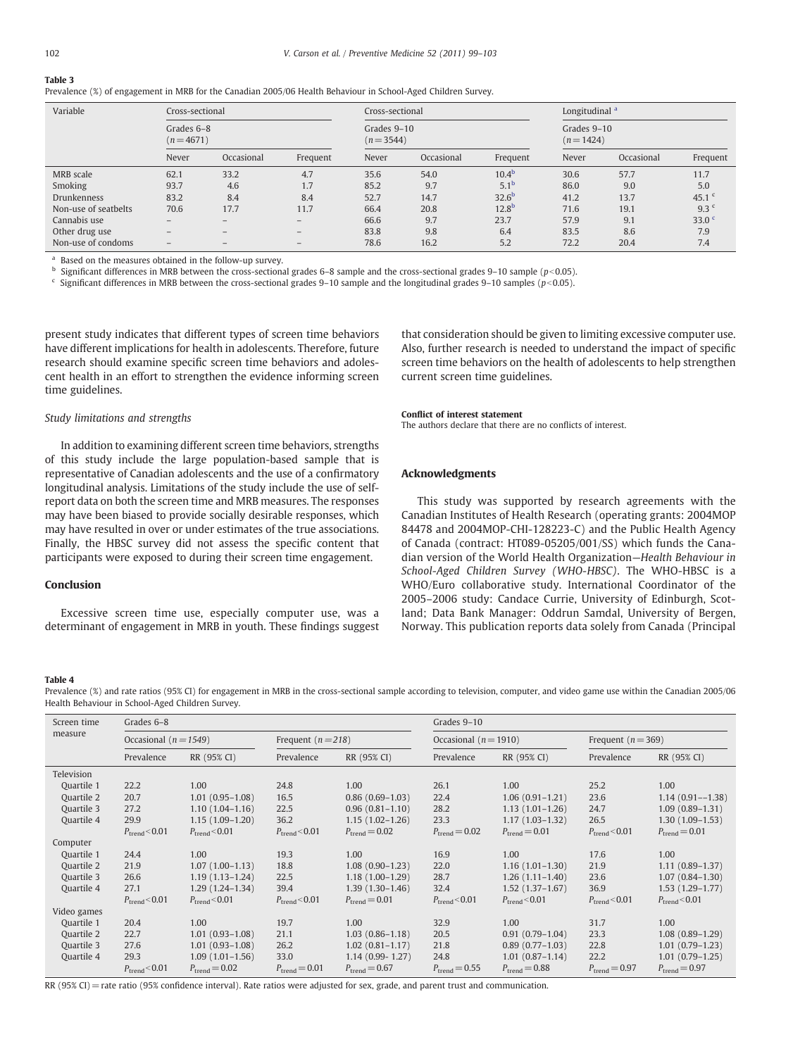# <span id="page-3-0"></span>Table 3

Prevalence (%) of engagement in MRB for the Canadian 2005/06 Health Behaviour in School-Aged Children Survey.

| Variable             |                          | Cross-sectional          |                           |       | Cross-sectional |                           |       | Longitudinal <sup>a</sup> |                  |  |
|----------------------|--------------------------|--------------------------|---------------------------|-------|-----------------|---------------------------|-------|---------------------------|------------------|--|
|                      | Grades 6-8<br>$(n=4671)$ |                          | Grades 9-10<br>$(n=3544)$ |       |                 | Grades 9-10<br>$(n=1424)$ |       |                           |                  |  |
|                      | Never                    | Occasional               | Frequent                  | Never | Occasional      | Frequent                  | Never | Occasional                | Frequent         |  |
| MRB scale            | 62.1                     | 33.2                     | 4.7                       | 35.6  | 54.0            | $10.4^{b}$                | 30.6  | 57.7                      | 11.7             |  |
| Smoking              | 93.7                     | 4.6                      | 1.7                       | 85.2  | 9.7             | 5.1 <sup>b</sup>          | 86.0  | 9.0                       | 5.0              |  |
| <b>Drunkenness</b>   | 83.2                     | 8.4                      | 8.4                       | 52.7  | 14.7            | 32.6 <sup>b</sup>         | 41.2  | 13.7                      | 45.1 $c$         |  |
| Non-use of seatbelts | 70.6                     | 17.7                     | 11.7                      | 66.4  | 20.8            | 12.8 <sup>b</sup>         | 71.6  | 19.1                      | 9.3 <sup>c</sup> |  |
| Cannabis use         | $-$                      | $\qquad \qquad -$        | $-$                       | 66.6  | 9.7             | 23.7                      | 57.9  | 9.1                       | 33.0 $C$         |  |
| Other drug use       | $\qquad \qquad -$        | $\qquad \qquad -$        | $-$                       | 83.8  | 9.8             | 6.4                       | 83.5  | 8.6                       | 7.9              |  |
| Non-use of condoms   | $\qquad \qquad -$        | $\overline{\phantom{0}}$ |                           | 78.6  | 16.2            | 5.2                       | 72.2  | 20.4                      | 7.4              |  |

<sup>a</sup> Based on the measures obtained in the follow-up survey.

<sup>b</sup> Significant differences in MRB between the cross-sectional grades 6–8 sample and the cross-sectional grades 9–10 sample ( $p$ <0.05).

 $c$  Significant differences in MRB between the cross-sectional grades 9–10 sample and the longitudinal grades 9–10 samples ( $p<0.05$ ).

present study indicates that different types of screen time behaviors have different implications for health in adolescents. Therefore, future research should examine specific screen time behaviors and adolescent health in an effort to strengthen the evidence informing screen time guidelines.

that consideration should be given to limiting excessive computer use. Also, further research is needed to understand the impact of specific screen time behaviors on the health of adolescents to help strengthen current screen time guidelines.

#### Study limitations and strengths

In addition to examining different screen time behaviors, strengths of this study include the large population-based sample that is representative of Canadian adolescents and the use of a confirmatory longitudinal analysis. Limitations of the study include the use of selfreport data on both the screen time and MRB measures. The responses may have been biased to provide socially desirable responses, which may have resulted in over or under estimates of the true associations. Finally, the HBSC survey did not assess the specific content that participants were exposed to during their screen time engagement.

### Conclusion

Excessive screen time use, especially computer use, was a determinant of engagement in MRB in youth. These findings suggest

#### Conflict of interest statement

The authors declare that there are no conflicts of interest.

#### Acknowledgments

This study was supported by research agreements with the Canadian Institutes of Health Research (operating grants: 2004MOP 84478 and 2004MOP-CHI-128223-C) and the Public Health Agency of Canada (contract: HT089-05205/001/SS) which funds the Canadian version of the World Health Organization—Health Behaviour in School-Aged Children Survey (WHO-HBSC). The WHO-HBSC is a WHO/Euro collaborative study. International Coordinator of the 2005–2006 study: Candace Currie, University of Edinburgh, Scotland; Data Bank Manager: Oddrun Samdal, University of Bergen, Norway. This publication reports data solely from Canada (Principal

#### Table 4

Prevalence (%) and rate ratios (95% CI) for engagement in MRB in the cross-sectional sample according to television, computer, and video game use within the Canadian 2005/06 Health Behaviour in School-Aged Children Survey.

| Screen time | Grades 6–8                |                           |                                                 |                           | Grades 9-10               |                           |                           |                           |
|-------------|---------------------------|---------------------------|-------------------------------------------------|---------------------------|---------------------------|---------------------------|---------------------------|---------------------------|
| measure     | Occasional ( $n = 1549$ ) |                           | Occasional ( $n = 1910$ )<br>Frequent $(n=218)$ |                           |                           | Frequent ( $n = 369$ )    |                           |                           |
|             | Prevalence                | RR (95% CI)               | Prevalence                                      | RR (95% CI)               | Prevalence                | RR (95% CI)               | Prevalence                | RR (95% CI)               |
| Television  |                           |                           |                                                 |                           |                           |                           |                           |                           |
| Quartile 1  | 22.2                      | 1.00                      | 24.8                                            | 1.00                      | 26.1                      | 1.00                      | 25.2                      | 1.00                      |
| Quartile 2  | 20.7                      | $1.01(0.95-1.08)$         | 16.5                                            | $0.86(0.69-1.03)$         | 22.4                      | $1.06(0.91-1.21)$         | 23.6                      | $1.14(0.91 - -1.38)$      |
| Quartile 3  | 27.2                      | $1.10(1.04-1.16)$         | 22.5                                            | $0.96(0.81 - 1.10)$       | 28.2                      | $1.13(1.01-1.26)$         | 24.7                      | $1.09(0.89 - 1.31)$       |
| Quartile 4  | 29.9                      | $1.15(1.09-1.20)$         | 36.2                                            | $1.15(1.02-1.26)$         | 23.3                      | $1.17(1.03 - 1.32)$       | 26.5                      | $1.30(1.09-1.53)$         |
|             | $P_{\text{trend}}$ < 0.01 | $P_{\text{trend}}$ < 0.01 | $P_{\text{trend}}$ < 0.01                       | $P_{\text{trend}} = 0.02$ | $P_{\text{trend}} = 0.02$ | $P_{\text{trend}} = 0.01$ | $P_{\text{trend}}$ < 0.01 | $P_{\text{trend}} = 0.01$ |
| Computer    |                           |                           |                                                 |                           |                           |                           |                           |                           |
| Quartile 1  | 24.4                      | 1.00                      | 19.3                                            | 1.00                      | 16.9                      | 1.00                      | 17.6                      | 1.00                      |
| Quartile 2  | 21.9                      | $1.07(1.00-1.13)$         | 18.8                                            | $1.08(0.90-1.23)$         | 22.0                      | $1.16(1.01-1.30)$         | 21.9                      | $1.11(0.89 - 1.37)$       |
| Quartile 3  | 26.6                      | $1.19(1.13 - 1.24)$       | 22.5                                            | $1.18(1.00-1.29)$         | 28.7                      | $1.26(1.11-1.40)$         | 23.6                      | $1.07(0.84 - 1.30)$       |
| Quartile 4  | 27.1                      | $1.29(1.24-1.34)$         | 39.4                                            | $1.39(1.30-1.46)$         | 32.4                      | $1.52(1.37-1.67)$         | 36.9                      | $1.53(1.29-1.77)$         |
|             | $P_{\text{trend}}$ < 0.01 | $P_{\text{trend}}$ < 0.01 | $P_{\text{trend}}$ < 0.01                       | $P_{\text{trend}} = 0.01$ | $P_{\text{trend}}$ < 0.01 | $P_{\text{trend}}$ < 0.01 | $P_{\text{trend}}$ < 0.01 | $P_{\text{trend}}$ < 0.01 |
| Video games |                           |                           |                                                 |                           |                           |                           |                           |                           |
| Quartile 1  | 20.4                      | 1.00                      | 19.7                                            | 1.00                      | 32.9                      | 1.00                      | 31.7                      | 1.00                      |
| Quartile 2  | 22.7                      | $1.01(0.93 - 1.08)$       | 21.1                                            | $1.03(0.86-1.18)$         | 20.5                      | $0.91(0.79-1.04)$         | 23.3                      | $1.08(0.89-1.29)$         |
| Quartile 3  | 27.6                      | $1.01(0.93 - 1.08)$       | 26.2                                            | $1.02(0.81 - 1.17)$       | 21.8                      | $0.89(0.77-1.03)$         | 22.8                      | $1.01(0.79-1.23)$         |
| Quartile 4  | 29.3                      | $1.09(1.01-1.56)$         | 33.0                                            | $1.14(0.99 - 1.27)$       | 24.8                      | $1.01(0.87 - 1.14)$       | 22.2                      | $1.01(0.79-1.25)$         |
|             | $P_{\text{trend}}$ < 0.01 | $P_{\text{trend}} = 0.02$ | $P_{\text{trend}} = 0.01$                       | $P_{\text{trend}} = 0.67$ | $P_{\text{trend}} = 0.55$ | $P_{\text{trend}} = 0.88$ | $P_{\text{trend}} = 0.97$ | $P_{\text{trend}} = 0.97$ |

RR (95% CI) = rate ratio (95% confidence interval). Rate ratios were adjusted for sex, grade, and parent trust and communication.